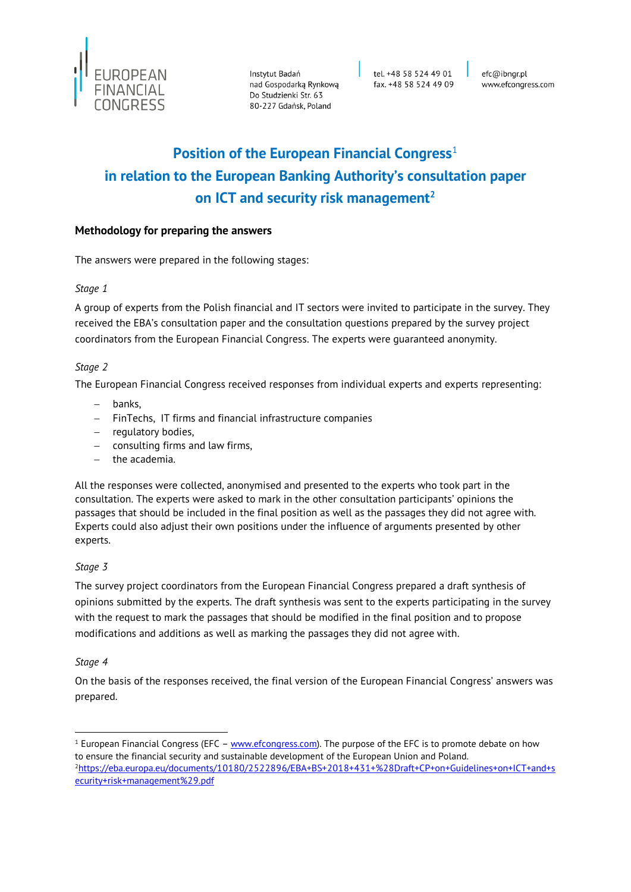

Instytut Badań<br>nad Gospodarką Rynkową<br>Da Studaianki Str. 67 Do Studzienki Str. 63 80-227 Gdańsk, Poland

tel. +48 58 524 49 01 fax. +48 58 524 49 09 efc@ibngr.pl www.efcongress.com

# **Position of the European Financial Congress**<sup>1</sup> **in relation to the European Banking Authority's consultation paper on ICT and security risk management<sup>2</sup>**

#### **Methodology for preparing the answers**

The answers were prepared in the following stages:

#### *Stage 1*

A group of experts from the Polish financial and IT sectors were invited to participate in the survey. They received the EBA's consultation paper and the consultation questions prepared by the survey project coordinators from the European Financial Congress. The experts were guaranteed anonymity.

#### *Stage 2*

The European Financial Congress received responses from individual experts and experts representing:

- banks,
- FinTechs, IT firms and financial infrastructure companies
- regulatory bodies,
- consulting firms and law firms,
- $-$  the academia.

All the responses were collected, anonymised and presented to the experts who took part in the consultation. The experts were asked to mark in the other consultation participants' opinions the passages that should be included in the final position as well as the passages they did not agree with. Experts could also adjust their own positions under the influence of arguments presented by other experts.

#### *Stage 3*

The survey project coordinators from the European Financial Congress prepared a draft synthesis of opinions submitted by the experts. The draft synthesis was sent to the experts participating in the survey with the request to mark the passages that should be modified in the final position and to propose modifications and additions as well as marking the passages they did not agree with.

#### *Stage 4*

-

On the basis of the responses received, the final version of the European Financial Congress' answers was prepared.

<sup>&</sup>lt;sup>1</sup> European Financial Congress (EFC – [www.efcongress.com\)](http://www.efcongress.com/). The purpose of the EFC is to promote debate on how to ensure the financial security and sustainable development of the European Union and Poland. <sup>2</sup>[https://eba.europa.eu/documents/10180/2522896/EBA+BS+2018+431+%28Draft+CP+on+Guidelines+on+ICT+and+s](https://eba.europa.eu/documents/10180/2522896/EBA+BS+2018+431+%28Draft+CP+on+Guidelines+on+ICT+and+security+risk+management%29.pdf) [ecurity+risk+management%29.pdf](https://eba.europa.eu/documents/10180/2522896/EBA+BS+2018+431+%28Draft+CP+on+Guidelines+on+ICT+and+security+risk+management%29.pdf)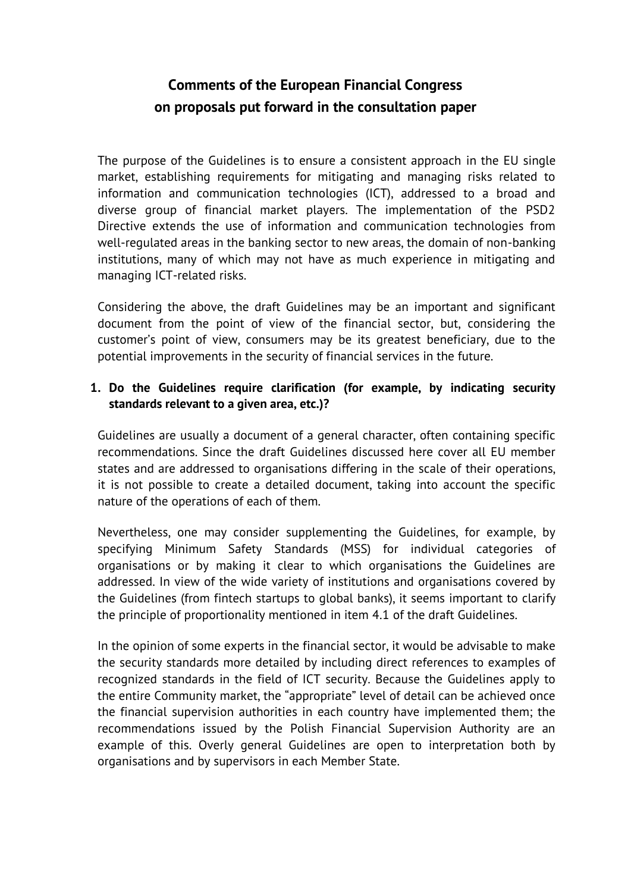# **Comments of the European Financial Congress on proposals put forward in the consultation paper**

The purpose of the Guidelines is to ensure a consistent approach in the EU single market, establishing requirements for mitigating and managing risks related to information and communication technologies (ICT), addressed to a broad and diverse group of financial market players. The implementation of the PSD2 Directive extends the use of information and communication technologies from well-regulated areas in the banking sector to new areas, the domain of non-banking institutions, many of which may not have as much experience in mitigating and managing ICT-related risks.

Considering the above, the draft Guidelines may be an important and significant document from the point of view of the financial sector, but, considering the customer's point of view, consumers may be its greatest beneficiary, due to the potential improvements in the security of financial services in the future.

# **1. Do the Guidelines require clarification (for example, by indicating security standards relevant to a given area, etc.)?**

Guidelines are usually a document of a general character, often containing specific recommendations. Since the draft Guidelines discussed here cover all EU member states and are addressed to organisations differing in the scale of their operations, it is not possible to create a detailed document, taking into account the specific nature of the operations of each of them.

Nevertheless, one may consider supplementing the Guidelines, for example, by specifying Minimum Safety Standards (MSS) for individual categories of organisations or by making it clear to which organisations the Guidelines are addressed. In view of the wide variety of institutions and organisations covered by the Guidelines (from fintech startups to global banks), it seems important to clarify the principle of proportionality mentioned in item 4.1 of the draft Guidelines.

In the opinion of some experts in the financial sector, it would be advisable to make the security standards more detailed by including direct references to examples of recognized standards in the field of ICT security. Because the Guidelines apply to the entire Community market, the "appropriate" level of detail can be achieved once the financial supervision authorities in each country have implemented them; the recommendations issued by the Polish Financial Supervision Authority are an example of this. Overly general Guidelines are open to interpretation both by organisations and by supervisors in each Member State.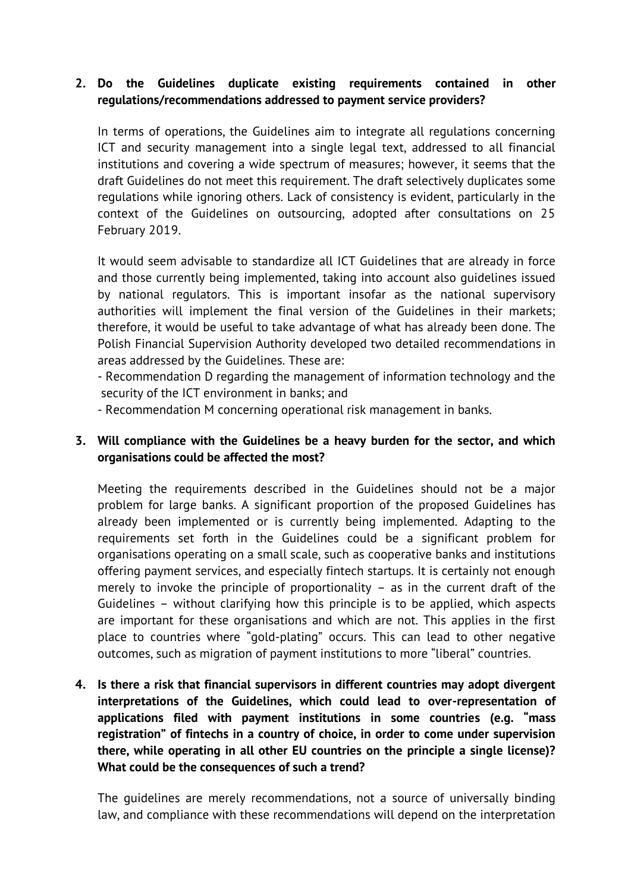#### **2. Do the Guidelines duplicate existing requirements contained in other regulations/recommendations addressed to payment service providers?**

In terms of operations, the Guidelines aim to integrate all regulations concerning ICT and security management into a single legal text, addressed to all financial institutions and covering a wide spectrum of measures; however, it seems that the draft Guidelines do not meet this requirement. The draft selectively duplicates some regulations while ignoring others. Lack of consistency is evident, particularly in the context of the Guidelines on outsourcing, adopted after consultations on 25 February 2019.

It would seem advisable to standardize all ICT Guidelines that are already in force and those currently being implemented, taking into account also guidelines issued by national regulators. This is important insofar as the national supervisory authorities will implement the final version of the Guidelines in their markets; therefore, it would be useful to take advantage of what has already been done. The Polish Financial Supervision Authority developed two detailed recommendations in areas addressed by the Guidelines. These are:

- Recommendation D regarding the management of information technology and the security of the ICT environment in banks; and

- Recommendation M concerning operational risk management in banks.

## **3. Will compliance with the Guidelines be a heavy burden for the sector, and which organisations could be affected the most?**

Meeting the requirements described in the Guidelines should not be a major problem for large banks. A significant proportion of the proposed Guidelines has already been implemented or is currently being implemented. Adapting to the requirements set forth in the Guidelines could be a significant problem for organisations operating on a small scale, such as cooperative banks and institutions offering payment services, and especially fintech startups. It is certainly not enough merely to invoke the principle of proportionality – as in the current draft of the Guidelines – without clarifying how this principle is to be applied, which aspects are important for these organisations and which are not. This applies in the first place to countries where "gold-plating" occurs. This can lead to other negative outcomes, such as migration of payment institutions to more "liberal" countries.

**4. Is there a risk that financial supervisors in different countries may adopt divergent interpretations of the Guidelines, which could lead to over-representation of applications filed with payment institutions in some countries (e.g. "mass registration" of fintechs in a country of choice, in order to come under supervision there, while operating in all other EU countries on the principle a single license)? What could be the consequences of such a trend?** 

The guidelines are merely recommendations, not a source of universally binding law, and compliance with these recommendations will depend on the interpretation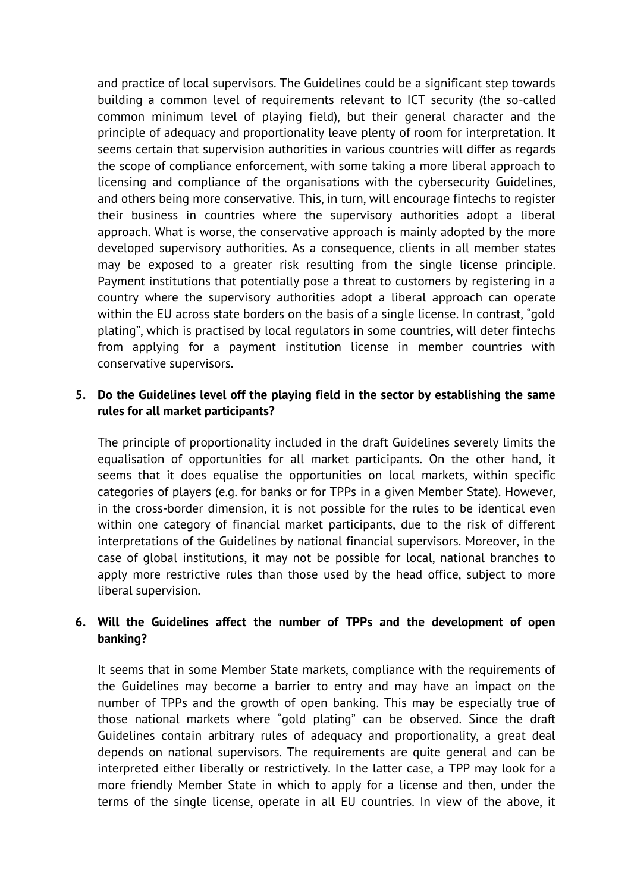and practice of local supervisors. The Guidelines could be a significant step towards building a common level of requirements relevant to ICT security (the so-called common minimum level of playing field), but their general character and the principle of adequacy and proportionality leave plenty of room for interpretation. It seems certain that supervision authorities in various countries will differ as regards the scope of compliance enforcement, with some taking a more liberal approach to licensing and compliance of the organisations with the cybersecurity Guidelines, and others being more conservative. This, in turn, will encourage fintechs to register their business in countries where the supervisory authorities adopt a liberal approach. What is worse, the conservative approach is mainly adopted by the more developed supervisory authorities. As a consequence, clients in all member states may be exposed to a greater risk resulting from the single license principle. Payment institutions that potentially pose a threat to customers by registering in a country where the supervisory authorities adopt a liberal approach can operate within the EU across state borders on the basis of a single license. In contrast, "gold plating", which is practised by local regulators in some countries, will deter fintechs from applying for a payment institution license in member countries with conservative supervisors.

#### **5. Do the Guidelines level off the playing field in the sector by establishing the same rules for all market participants?**

The principle of proportionality included in the draft Guidelines severely limits the equalisation of opportunities for all market participants. On the other hand, it seems that it does equalise the opportunities on local markets, within specific categories of players (e.g. for banks or for TPPs in a given Member State). However, in the cross-border dimension, it is not possible for the rules to be identical even within one category of financial market participants, due to the risk of different interpretations of the Guidelines by national financial supervisors. Moreover, in the case of global institutions, it may not be possible for local, national branches to apply more restrictive rules than those used by the head office, subject to more liberal supervision.

#### **6. Will the Guidelines affect the number of TPPs and the development of open banking?**

It seems that in some Member State markets, compliance with the requirements of the Guidelines may become a barrier to entry and may have an impact on the number of TPPs and the growth of open banking. This may be especially true of those national markets where "gold plating" can be observed. Since the draft Guidelines contain arbitrary rules of adequacy and proportionality, a great deal depends on national supervisors. The requirements are quite general and can be interpreted either liberally or restrictively. In the latter case, a TPP may look for a more friendly Member State in which to apply for a license and then, under the terms of the single license, operate in all EU countries. In view of the above, it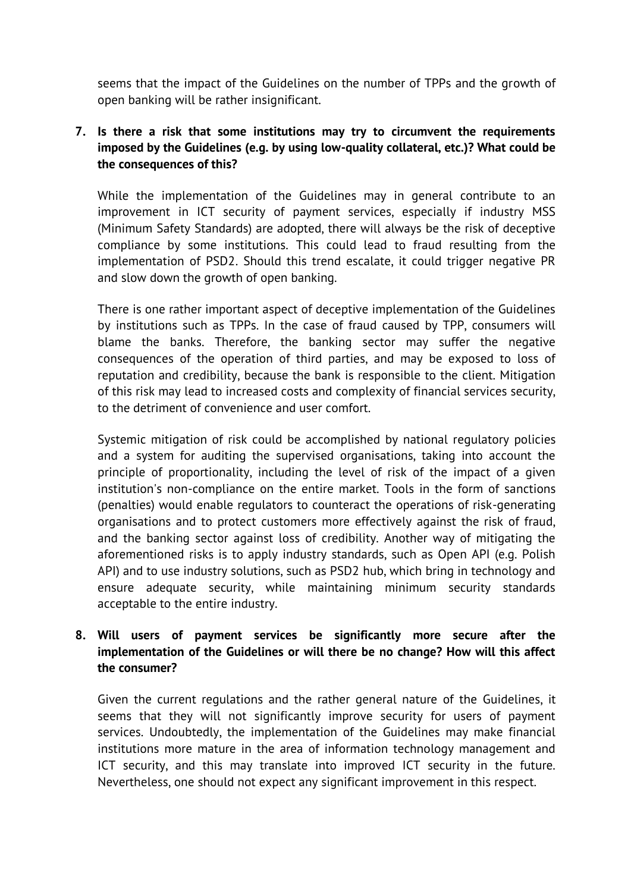seems that the impact of the Guidelines on the number of TPPs and the growth of open banking will be rather insignificant.

# **7. Is there a risk that some institutions may try to circumvent the requirements imposed by the Guidelines (e.g. by using low-quality collateral, etc.)? What could be the consequences of this?**

While the implementation of the Guidelines may in general contribute to an improvement in ICT security of payment services, especially if industry MSS (Minimum Safety Standards) are adopted, there will always be the risk of deceptive compliance by some institutions. This could lead to fraud resulting from the implementation of PSD2. Should this trend escalate, it could trigger negative PR and slow down the growth of open banking.

There is one rather important aspect of deceptive implementation of the Guidelines by institutions such as TPPs. In the case of fraud caused by TPP, consumers will blame the banks. Therefore, the banking sector may suffer the negative consequences of the operation of third parties, and may be exposed to loss of reputation and credibility, because the bank is responsible to the client. Mitigation of this risk may lead to increased costs and complexity of financial services security, to the detriment of convenience and user comfort.

Systemic mitigation of risk could be accomplished by national regulatory policies and a system for auditing the supervised organisations, taking into account the principle of proportionality, including the level of risk of the impact of a given institution's non-compliance on the entire market. Tools in the form of sanctions (penalties) would enable regulators to counteract the operations of risk-generating organisations and to protect customers more effectively against the risk of fraud, and the banking sector against loss of credibility. Another way of mitigating the aforementioned risks is to apply industry standards, such as Open API (e.g. Polish API) and to use industry solutions, such as PSD2 hub, which bring in technology and ensure adequate security, while maintaining minimum security standards acceptable to the entire industry.

# **8. Will users of payment services be significantly more secure after the implementation of the Guidelines or will there be no change? How will this affect the consumer?**

Given the current regulations and the rather general nature of the Guidelines, it seems that they will not significantly improve security for users of payment services. Undoubtedly, the implementation of the Guidelines may make financial institutions more mature in the area of information technology management and ICT security, and this may translate into improved ICT security in the future. Nevertheless, one should not expect any significant improvement in this respect.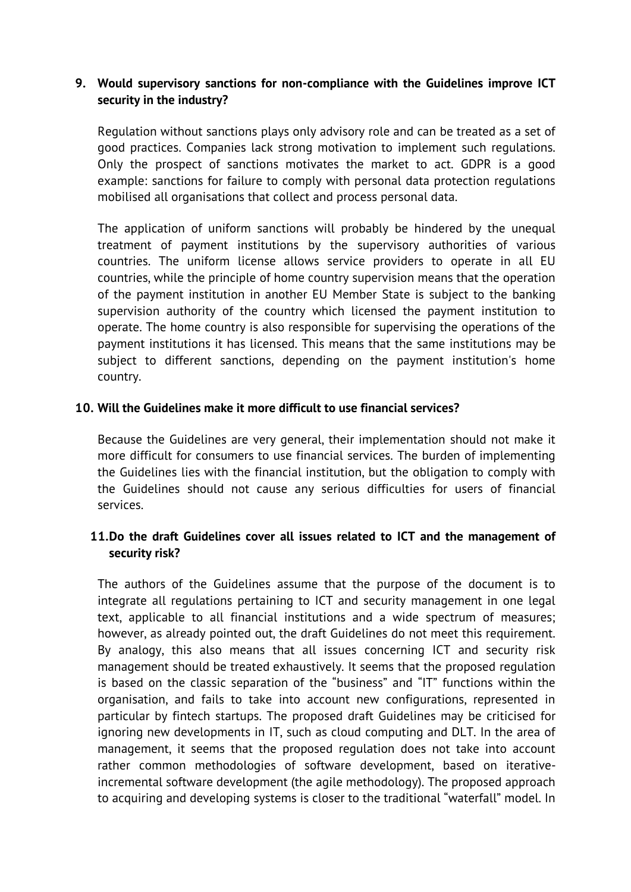#### **9. Would supervisory sanctions for non-compliance with the Guidelines improve ICT security in the industry?**

Regulation without sanctions plays only advisory role and can be treated as a set of good practices. Companies lack strong motivation to implement such regulations. Only the prospect of sanctions motivates the market to act. GDPR is a good example: sanctions for failure to comply with personal data protection regulations mobilised all organisations that collect and process personal data.

The application of uniform sanctions will probably be hindered by the unequal treatment of payment institutions by the supervisory authorities of various countries. The uniform license allows service providers to operate in all EU countries, while the principle of home country supervision means that the operation of the payment institution in another EU Member State is subject to the banking supervision authority of the country which licensed the payment institution to operate. The home country is also responsible for supervising the operations of the payment institutions it has licensed. This means that the same institutions may be subject to different sanctions, depending on the payment institution's home country.

#### **10. Will the Guidelines make it more difficult to use financial services?**

Because the Guidelines are very general, their implementation should not make it more difficult for consumers to use financial services. The burden of implementing the Guidelines lies with the financial institution, but the obligation to comply with the Guidelines should not cause any serious difficulties for users of financial services.

# **11.Do the draft Guidelines cover all issues related to ICT and the management of security risk?**

The authors of the Guidelines assume that the purpose of the document is to integrate all regulations pertaining to ICT and security management in one legal text, applicable to all financial institutions and a wide spectrum of measures; however, as already pointed out, the draft Guidelines do not meet this requirement. By analogy, this also means that all issues concerning ICT and security risk management should be treated exhaustively. It seems that the proposed regulation is based on the classic separation of the "business" and "IT" functions within the organisation, and fails to take into account new configurations, represented in particular by fintech startups. The proposed draft Guidelines may be criticised for ignoring new developments in IT, such as cloud computing and DLT. In the area of management, it seems that the proposed regulation does not take into account rather common methodologies of software development, based on iterativeincremental software development (the agile methodology). The proposed approach to acquiring and developing systems is closer to the traditional "waterfall" model. In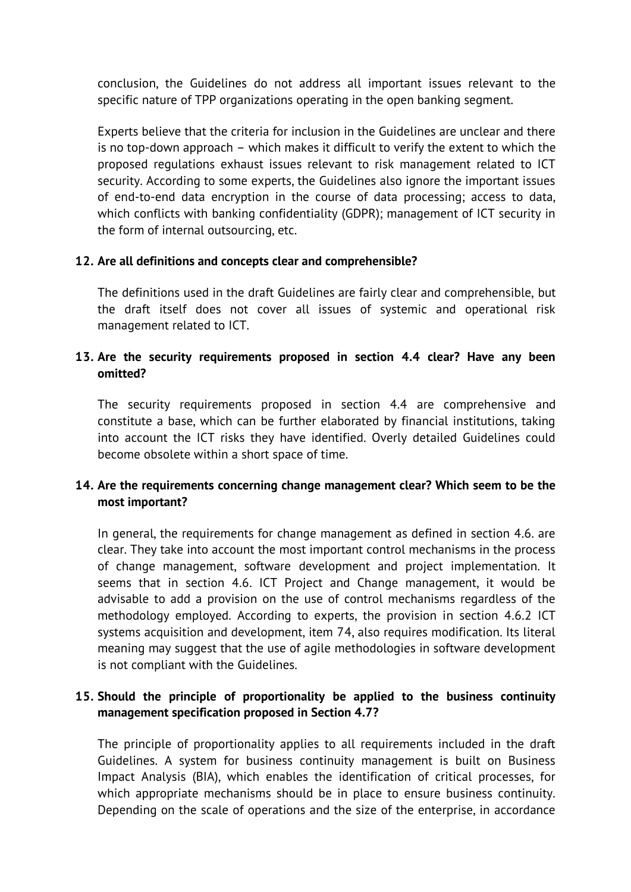conclusion, the Guidelines do not address all important issues relevant to the specific nature of TPP organizations operating in the open banking segment.

Experts believe that the criteria for inclusion in the Guidelines are unclear and there is no top-down approach – which makes it difficult to verify the extent to which the proposed regulations exhaust issues relevant to risk management related to ICT security. According to some experts, the Guidelines also ignore the important issues of end-to-end data encryption in the course of data processing; access to data, which conflicts with banking confidentiality (GDPR); management of ICT security in the form of internal outsourcing, etc.

#### **12. Are all definitions and concepts clear and comprehensible?**

The definitions used in the draft Guidelines are fairly clear and comprehensible, but the draft itself does not cover all issues of systemic and operational risk management related to ICT.

# **13. Are the security requirements proposed in section 4.4 clear? Have any been omitted?**

The security requirements proposed in section 4.4 are comprehensive and constitute a base, which can be further elaborated by financial institutions, taking into account the ICT risks they have identified. Overly detailed Guidelines could become obsolete within a short space of time.

# **14. Are the requirements concerning change management clear? Which seem to be the most important?**

In general, the requirements for change management as defined in section 4.6. are clear. They take into account the most important control mechanisms in the process of change management, software development and project implementation. It seems that in section 4.6. ICT Project and Change management, it would be advisable to add a provision on the use of control mechanisms regardless of the methodology employed. According to experts, the provision in section 4.6.2 ICT systems acquisition and development, item 74, also requires modification. Its literal meaning may suggest that the use of agile methodologies in software development is not compliant with the Guidelines.

# **15. Should the principle of proportionality be applied to the business continuity management specification proposed in Section 4.7?**

The principle of proportionality applies to all requirements included in the draft Guidelines. A system for business continuity management is built on Business Impact Analysis (BIA), which enables the identification of critical processes, for which appropriate mechanisms should be in place to ensure business continuity. Depending on the scale of operations and the size of the enterprise, in accordance